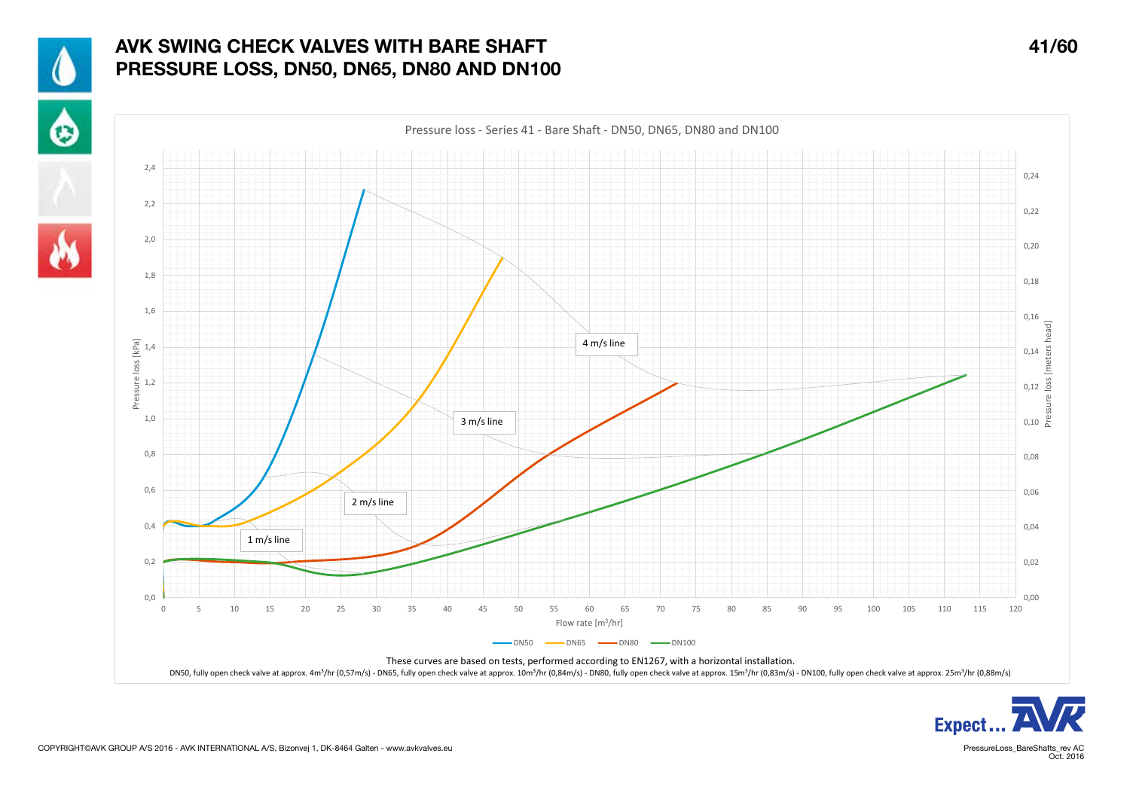

## AVK SWING CHECK VALVES WITH BARE SHAFT 41/60 PRESSURE LOSS, DN50, DN65, DN80 AND DN100



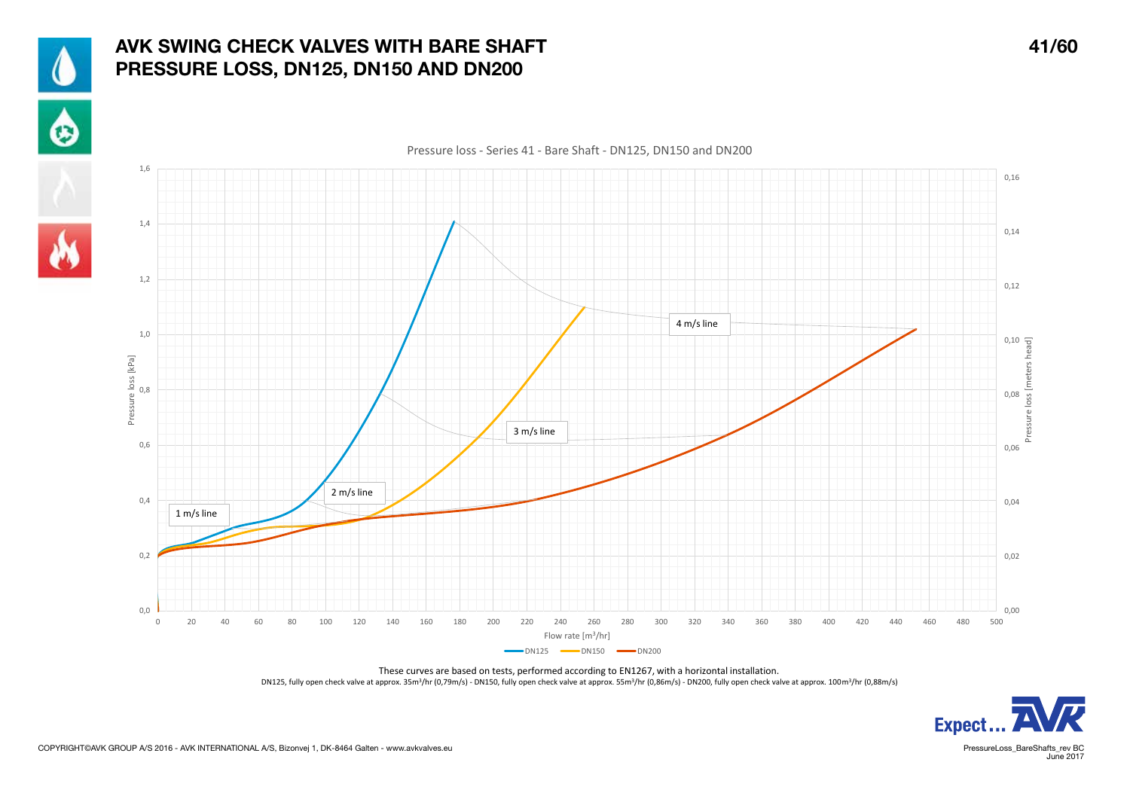

## AVK SWING CHECK VALVES WITH BARE SHAFT 41/60 PRESSURE LOSS, DN125, DN150 AND DN200





These curves are based on tests, performed according to EN1267, with a horizontal installation. DN125, fully open check valve at approx. 35m<sup>3</sup>/hr (0,79m/s) - DN150, fully open check valve at approx. 55m<sup>3</sup>/hr (0,86m/s) - DN200, fully open check valve at approx. 100m<sup>3</sup>/hr (0,88m/s)



June 2017